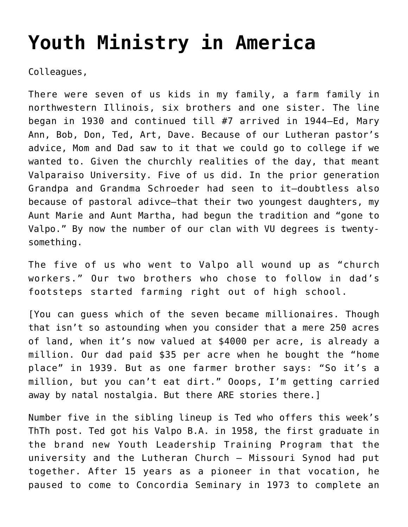## **[Youth Ministry in America](https://crossings.org/youth-ministry-in-america/)**

Colleagues,

There were seven of us kids in my family, a farm family in northwestern Illinois, six brothers and one sister. The line began in 1930 and continued till #7 arrived in 1944–Ed, Mary Ann, Bob, Don, Ted, Art, Dave. Because of our Lutheran pastor's advice, Mom and Dad saw to it that we could go to college if we wanted to. Given the churchly realities of the day, that meant Valparaiso University. Five of us did. In the prior generation Grandpa and Grandma Schroeder had seen to it–doubtless also because of pastoral adivce–that their two youngest daughters, my Aunt Marie and Aunt Martha, had begun the tradition and "gone to Valpo." By now the number of our clan with VU degrees is twentysomething.

The five of us who went to Valpo all wound up as "church workers." Our two brothers who chose to follow in dad's footsteps started farming right out of high school.

[You can guess which of the seven became millionaires. Though that isn't so astounding when you consider that a mere 250 acres of land, when it's now valued at \$4000 per acre, is already a million. Our dad paid \$35 per acre when he bought the "home place" in 1939. But as one farmer brother says: "So it's a million, but you can't eat dirt." Ooops, I'm getting carried away by natal nostalgia. But there ARE stories there.]

Number five in the sibling lineup is Ted who offers this week's ThTh post. Ted got his Valpo B.A. in 1958, the first graduate in the brand new Youth Leadership Training Program that the university and the Lutheran Church – Missouri Synod had put together. After 15 years as a pioneer in that vocation, he paused to come to Concordia Seminary in 1973 to complete an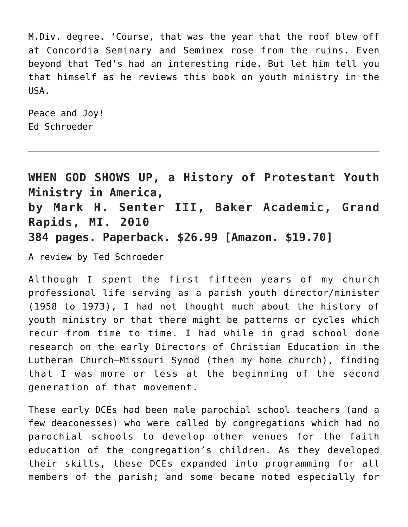M.Div. degree. 'Course, that was the year that the roof blew off at Concordia Seminary and Seminex rose from the ruins. Even beyond that Ted's had an interesting ride. But let him tell you that himself as he reviews this book on youth ministry in the USA.

Peace and Joy! Ed Schroeder

**WHEN GOD SHOWS UP, a History of Protestant Youth Ministry in America, by Mark H. Senter III, Baker Academic, Grand Rapids, MI. 2010 384 pages. Paperback. \$26.99 [Amazon. \$19.70]**

A review by Ted Schroeder

Although I spent the first fifteen years of my church professional life serving as a parish youth director/minister (1958 to 1973), I had not thought much about the history of youth ministry or that there might be patterns or cycles which recur from time to time. I had while in grad school done research on the early Directors of Christian Education in the Lutheran Church–Missouri Synod (then my home church), finding that I was more or less at the beginning of the second generation of that movement.

These early DCEs had been male parochial school teachers (and a few deaconesses) who were called by congregations which had no parochial schools to develop other venues for the faith education of the congregation's children. As they developed their skills, these DCEs expanded into programming for all members of the parish; and some became noted especially for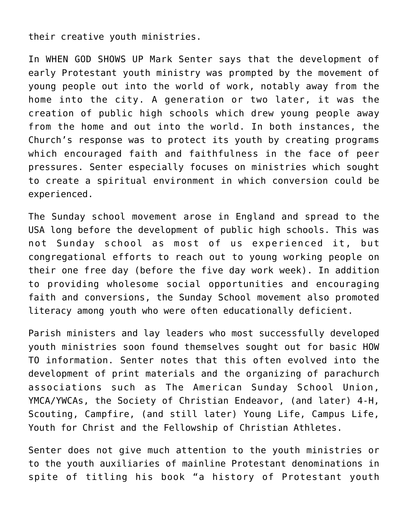their creative youth ministries.

In WHEN GOD SHOWS UP Mark Senter says that the development of early Protestant youth ministry was prompted by the movement of young people out into the world of work, notably away from the home into the city. A generation or two later, it was the creation of public high schools which drew young people away from the home and out into the world. In both instances, the Church's response was to protect its youth by creating programs which encouraged faith and faithfulness in the face of peer pressures. Senter especially focuses on ministries which sought to create a spiritual environment in which conversion could be experienced.

The Sunday school movement arose in England and spread to the USA long before the development of public high schools. This was not Sunday school as most of us experienced it, but congregational efforts to reach out to young working people on their one free day (before the five day work week). In addition to providing wholesome social opportunities and encouraging faith and conversions, the Sunday School movement also promoted literacy among youth who were often educationally deficient.

Parish ministers and lay leaders who most successfully developed youth ministries soon found themselves sought out for basic HOW TO information. Senter notes that this often evolved into the development of print materials and the organizing of parachurch associations such as The American Sunday School Union, YMCA/YWCAs, the Society of Christian Endeavor, (and later) 4-H, Scouting, Campfire, (and still later) Young Life, Campus Life, Youth for Christ and the Fellowship of Christian Athletes.

Senter does not give much attention to the youth ministries or to the youth auxiliaries of mainline Protestant denominations in spite of titling his book "a history of Protestant youth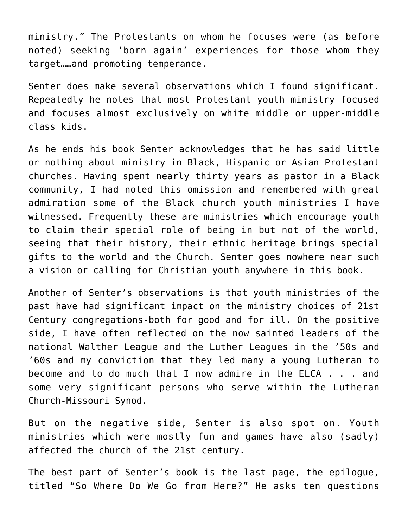ministry." The Protestants on whom he focuses were (as before noted) seeking 'born again' experiences for those whom they target……and promoting temperance.

Senter does make several observations which I found significant. Repeatedly he notes that most Protestant youth ministry focused and focuses almost exclusively on white middle or upper-middle class kids.

As he ends his book Senter acknowledges that he has said little or nothing about ministry in Black, Hispanic or Asian Protestant churches. Having spent nearly thirty years as pastor in a Black community, I had noted this omission and remembered with great admiration some of the Black church youth ministries I have witnessed. Frequently these are ministries which encourage youth to claim their special role of being in but not of the world, seeing that their history, their ethnic heritage brings special gifts to the world and the Church. Senter goes nowhere near such a vision or calling for Christian youth anywhere in this book.

Another of Senter's observations is that youth ministries of the past have had significant impact on the ministry choices of 21st Century congregations-both for good and for ill. On the positive side, I have often reflected on the now sainted leaders of the national Walther League and the Luther Leagues in the '50s and '60s and my conviction that they led many a young Lutheran to become and to do much that I now admire in the ELCA . . . and some very significant persons who serve within the Lutheran Church-Missouri Synod.

But on the negative side, Senter is also spot on. Youth ministries which were mostly fun and games have also (sadly) affected the church of the 21st century.

The best part of Senter's book is the last page, the epilogue, titled "So Where Do We Go from Here?" He asks ten questions